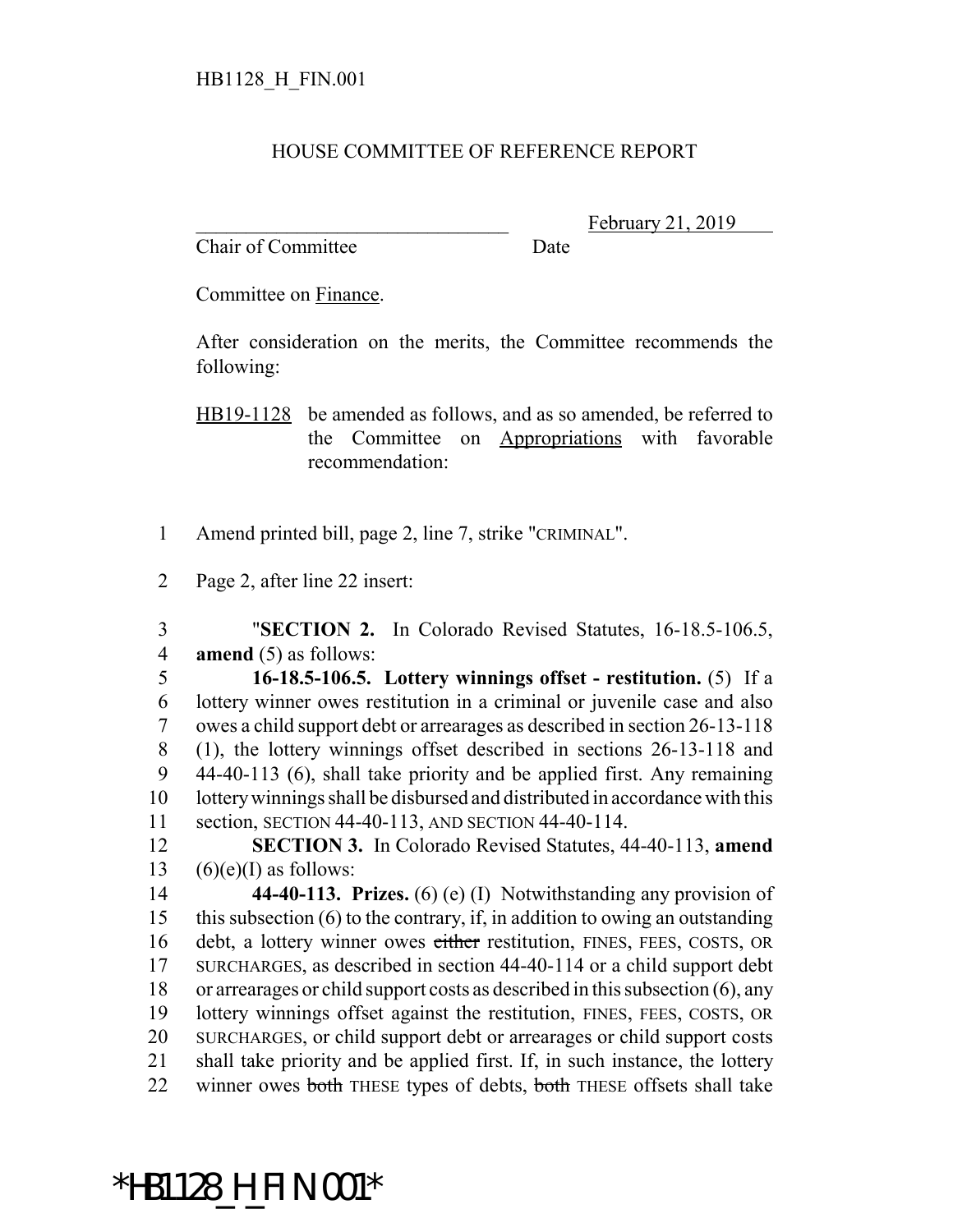## HOUSE COMMITTEE OF REFERENCE REPORT

Chair of Committee Date

February 21, 2019

Committee on Finance.

After consideration on the merits, the Committee recommends the following:

HB19-1128 be amended as follows, and as so amended, be referred to the Committee on Appropriations with favorable recommendation:

- 1 Amend printed bill, page 2, line 7, strike "CRIMINAL".
- 2 Page 2, after line 22 insert:
- 3 "**SECTION 2.** In Colorado Revised Statutes, 16-18.5-106.5, 4 **amend** (5) as follows:

 **16-18.5-106.5. Lottery winnings offset - restitution.** (5) If a lottery winner owes restitution in a criminal or juvenile case and also owes a child support debt or arrearages as described in section 26-13-118 (1), the lottery winnings offset described in sections 26-13-118 and 44-40-113 (6), shall take priority and be applied first. Any remaining lottery winnings shall be disbursed and distributed in accordance with this section, SECTION 44-40-113, AND SECTION 44-40-114.

12 **SECTION 3.** In Colorado Revised Statutes, 44-40-113, **amend** 13  $(6)(e)(I)$  as follows:

 **44-40-113. Prizes.** (6) (e) (I) Notwithstanding any provision of this subsection (6) to the contrary, if, in addition to owing an outstanding 16 debt, a lottery winner owes either restitution, FINES, FEES, COSTS, OR SURCHARGES, as described in section 44-40-114 or a child support debt or arrearages or child support costs as described in this subsection (6), any lottery winnings offset against the restitution, FINES, FEES, COSTS, OR SURCHARGES, or child support debt or arrearages or child support costs shall take priority and be applied first. If, in such instance, the lottery 22 winner owes both THESE types of debts, both THESE offsets shall take

## \*HB1128\_H\_FIN.001\*